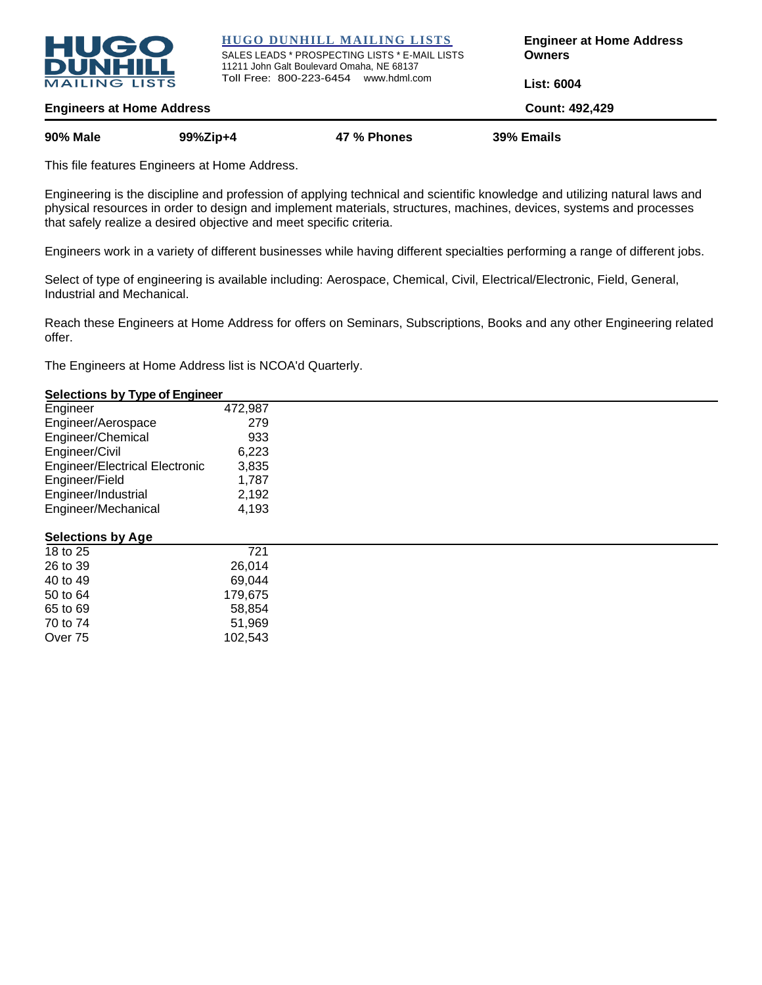

**HUGO DUNHILL MAILING LISTS**

SALES LEADS \* PROSPECTING LISTS \* E-MAIL LISTS 11211 John Galt Boulevard Omaha, NE 68137 Toll Free: 800-223-6454 www.hdml.com

**Engineer at Home Address Owners**

**List: 6004**

**Engineers at Home Address Count: 492,429 90% Male 99%Zip+4 47 % Phones 39% Emails**

This file features Engineers at Home Address.

Engineering is the discipline and profession of applying technical and scientific knowledge and utilizing natural laws and physical resources in order to design and implement materials, structures, machines, devices, systems and processes that safely realize a desired objective and meet specific criteria.

Engineers work in a variety of different businesses while having different specialties performing a range of different jobs.

Select of type of engineering is available including: Aerospace, Chemical, Civil, Electrical/Electronic, Field, General, Industrial and Mechanical.

Reach these Engineers at Home Address for offers on Seminars, Subscriptions, Books and any other Engineering related offer.

The Engineers at Home Address list is NCOA'd Quarterly.

## **Selections by Type of Engineer**

| Engineer                              | 472,987 |  |
|---------------------------------------|---------|--|
| Engineer/Aerospace                    | 279     |  |
| Engineer/Chemical                     | 933     |  |
| Engineer/Civil                        | 6,223   |  |
| <b>Engineer/Electrical Electronic</b> | 3,835   |  |
| Engineer/Field                        | 1,787   |  |
| Engineer/Industrial                   | 2,192   |  |
| Engineer/Mechanical                   | 4,193   |  |
| <b>Selections by Age</b>              |         |  |
| 18 to 25                              | 721     |  |
| 26 to 39                              | 26,014  |  |
| 40 to 49                              | 69,044  |  |
| 50 to 64                              | 179,675 |  |
| 65 to 69                              | 58,854  |  |
| 70 to 74                              | 51,969  |  |
| Over 75                               | 102,543 |  |
|                                       |         |  |